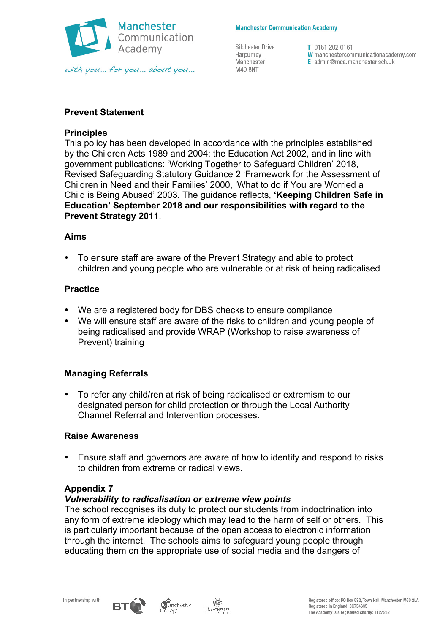

#### **Manchester Communication Academy**

Silchester Drive Harpurhey Manchester M40 8NT

T 0161 202 0161 W manchestercommunicationacademy.com E admin@mca.manchester.sch.uk

# **Prevent Statement**

## **Principles**

This policy has been developed in accordance with the principles established by the Children Acts 1989 and 2004; the Education Act 2002, and in line with government publications: 'Working Together to Safeguard Children' 2018, Revised Safeguarding Statutory Guidance 2 'Framework for the Assessment of Children in Need and their Families' 2000, 'What to do if You are Worried a Child is Being Abused' 2003. The guidance reflects, **'Keeping Children Safe in Education' September 2018 and our responsibilities with regard to the Prevent Strategy 2011**.

### **Aims**

• To ensure staff are aware of the Prevent Strategy and able to protect children and young people who are vulnerable or at risk of being radicalised

### **Practice**

- We are a registered body for DBS checks to ensure compliance
- We will ensure staff are aware of the risks to children and young people of being radicalised and provide WRAP (Workshop to raise awareness of Prevent) training

## **Managing Referrals**

• To refer any child/ren at risk of being radicalised or extremism to our designated person for child protection or through the Local Authority Channel Referral and Intervention processes.

#### **Raise Awareness**

• Ensure staff and governors are aware of how to identify and respond to risks to children from extreme or radical views.

## **Appendix 7**

## *Vulnerability to radicalisation or extreme view points*

The school recognises its duty to protect our students from indoctrination into any form of extreme ideology which may lead to the harm of self or others. This is particularly important because of the open access to electronic information through the internet. The schools aims to safeguard young people through educating them on the appropriate use of social media and the dangers of